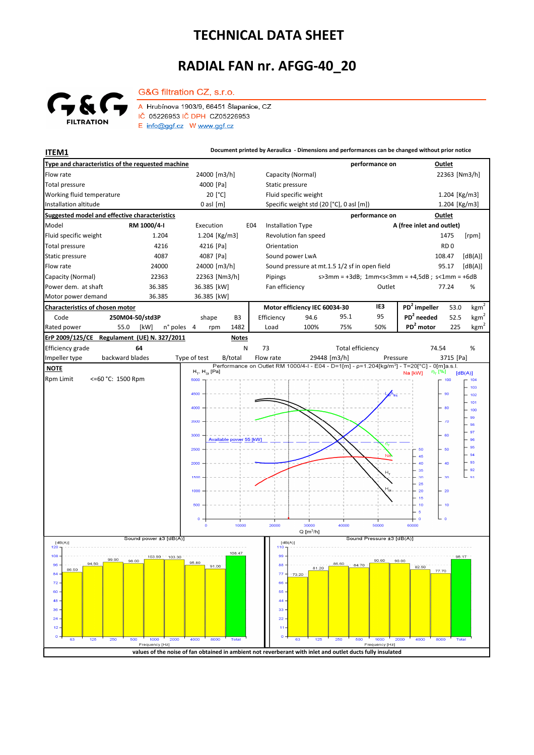## **TECHNICAL DATA SHEET**

## **RADIAL FAN nr. AFGG-40\_20**



G&G filtration CZ, s.r.o. A Hrubínova 1903/9, 66451 Šlapanice, CZ IČ 05226953 IČ DPH CZ05226953 E info@ggf.cz W www.ggf.cz

**ITEM1 ITEM1 Document printed by Aeraulica** - Dimensions and performances can be changed without prior notice

| Type and characteristics of the requested machine    |                                                                                                            |                       |                                 |              |                               |                                               |                                                      |                                          |                         | performance on            |                                                                                                        |                 | Outlet                            |  |
|------------------------------------------------------|------------------------------------------------------------------------------------------------------------|-----------------------|---------------------------------|--------------|-------------------------------|-----------------------------------------------|------------------------------------------------------|------------------------------------------|-------------------------|---------------------------|--------------------------------------------------------------------------------------------------------|-----------------|-----------------------------------|--|
| Flow rate                                            |                                                                                                            |                       | 24000 [m3/h]                    |              |                               | Capacity (Normal)                             |                                                      |                                          |                         |                           |                                                                                                        | 22363 [Nm3/h]   |                                   |  |
| <b>Total pressure</b>                                |                                                                                                            |                       | 4000 [Pa]                       |              |                               | Static pressure                               |                                                      |                                          |                         |                           |                                                                                                        |                 |                                   |  |
| Working fluid temperature                            |                                                                                                            |                       | 20 [°C]                         |              |                               | Fluid specific weight                         |                                                      |                                          |                         |                           |                                                                                                        | 1.204 [Kg/m3]   |                                   |  |
| Installation altitude                                |                                                                                                            |                       | $0$ asl $[m]$                   |              |                               |                                               |                                                      | Specific weight std (20 [°C], 0 asl [m]) |                         |                           |                                                                                                        | 1.204 [Kg/m3]   |                                   |  |
| <b>Suggested model and effective characteristics</b> |                                                                                                            |                       |                                 |              |                               |                                               | performance on<br>Outlet                             |                                          |                         |                           |                                                                                                        |                 |                                   |  |
| Model<br>RM 1000/4-I                                 |                                                                                                            |                       | Execution<br>E04                |              |                               | <b>Installation Type</b>                      |                                                      |                                          |                         | A (free inlet and outlet) |                                                                                                        |                 |                                   |  |
| Fluid specific weight                                | 1.204                                                                                                      |                       | 1.204 [Kg/m3]                   |              |                               |                                               | Revolution fan speed                                 |                                          |                         |                           |                                                                                                        | 1475            | [rpm]                             |  |
| <b>Total pressure</b><br>4216                        |                                                                                                            |                       | 4216 [Pa]                       |              |                               | Orientation                                   |                                                      |                                          |                         |                           |                                                                                                        | RD <sub>0</sub> |                                   |  |
| Static pressure<br>4087                              |                                                                                                            |                       | 4087 [Pa]                       |              |                               |                                               | Sound power LwA                                      |                                          |                         |                           |                                                                                                        | 108.47          | [dB(A)]                           |  |
| Flow rate<br>24000                                   |                                                                                                            |                       | 24000 [m3/h]                    |              |                               | Sound pressure at mt.1.5 1/2 sf in open field |                                                      |                                          |                         |                           |                                                                                                        | 95.17           | [dB(A)]                           |  |
| Capacity (Normal)<br>22363                           |                                                                                                            |                       | 22363 [Nm3/h]                   |              |                               | Pipings                                       |                                                      |                                          |                         |                           | $s > 3$ mm = +3dB; 1mm <s<3mm +4,5db;="" =="" s<1mm="+6dB&lt;/td"><td></td><td></td></s<3mm>           |                 |                                   |  |
| Power dem. at shaft<br>36.385                        |                                                                                                            |                       | 36.385 [kW]                     |              |                               | Fan efficiency<br>Outlet                      |                                                      |                                          |                         |                           |                                                                                                        | 77.24           | %                                 |  |
| Motor power demand<br>36.385                         |                                                                                                            |                       | 36.385 [kW]                     |              |                               |                                               |                                                      |                                          |                         |                           |                                                                                                        |                 |                                   |  |
| Characteristics of chosen motor                      |                                                                                                            |                       |                                 |              | Motor efficiency IEC 60034-30 |                                               |                                                      |                                          | IE3                     | $PD2$ impeller            | 53.0                                                                                                   | $\text{kgm}^2$  |                                   |  |
| Code<br>250M04-50/std3P                              |                                                                                                            |                       | shape<br>B <sub>3</sub>         |              |                               | Efficiency                                    | 94.6                                                 |                                          | 95.1                    | 95                        | $PD2$ needed                                                                                           | 52.5            | kgm <sup>2</sup>                  |  |
| Rated power<br>55.0                                  | [kW]                                                                                                       | n° poles              | 4<br>rpm                        | 1482         |                               | Load                                          | 100%                                                 |                                          | 75%                     | 50%                       | PD <sup>2</sup> motor                                                                                  | 225             | $\underline{\text{kg}}\text{m}^2$ |  |
| ErP 2009/125/CE                                      | Regulament (UE) N. 327/2011                                                                                |                       |                                 | <b>Notes</b> |                               |                                               |                                                      |                                          |                         |                           |                                                                                                        |                 |                                   |  |
| 64<br>Efficiency grade                               |                                                                                                            |                       | N                               |              |                               | 73                                            |                                                      |                                          | <b>Total efficiency</b> |                           |                                                                                                        | 74.54           | %                                 |  |
| backward blades<br>Impeller type                     |                                                                                                            | Type of test          |                                 | B/total      |                               | Flow rate                                     |                                                      | 29448 [m3/h]                             |                         | Pressure                  | Performance on Outlet RM 1000/4-I - E04 - D=1[m] - p=1.204[kg/m <sup>3</sup> ] - T=20[°C] - 0[m]a.s.l. | 3715 [Pa]       |                                   |  |
| <b>NOTE</b>                                          |                                                                                                            | $H_T$ , $H_{St}$ [Pa] |                                 |              |                               |                                               |                                                      |                                          |                         | Na [kW]                   | η <sub>τ</sub> [%]                                                                                     | [dB(A)]         |                                   |  |
| <b>Rpm Limit</b><br><=60 °C: 1500 Rpm                |                                                                                                            |                       | 5000                            |              |                               |                                               |                                                      |                                          |                         |                           |                                                                                                        | 100             | 104<br>103                        |  |
|                                                      |                                                                                                            |                       | 4500                            |              |                               |                                               |                                                      |                                          |                         |                           |                                                                                                        | - 90            | 102                               |  |
|                                                      |                                                                                                            |                       | 4000                            |              |                               |                                               |                                                      |                                          |                         |                           |                                                                                                        | 80              | 101                               |  |
|                                                      |                                                                                                            |                       |                                 |              |                               |                                               |                                                      |                                          |                         |                           |                                                                                                        |                 | 100<br>99                         |  |
|                                                      |                                                                                                            |                       | 3500                            |              |                               |                                               |                                                      |                                          |                         |                           |                                                                                                        | $-70$           | 98                                |  |
|                                                      |                                                                                                            |                       | 3000<br>Available power 55 [kW] |              |                               |                                               |                                                      |                                          |                         |                           |                                                                                                        | 60              | 97                                |  |
|                                                      |                                                                                                            |                       |                                 |              |                               |                                               |                                                      |                                          |                         |                           | 50                                                                                                     | 50              | 96<br>95                          |  |
|                                                      |                                                                                                            |                       | 2500                            |              |                               |                                               |                                                      |                                          |                         |                           | 45                                                                                                     |                 | 94                                |  |
|                                                      |                                                                                                            |                       | 2000                            |              |                               |                                               |                                                      |                                          |                         |                           |                                                                                                        | 40              | 93<br>.92                         |  |
|                                                      |                                                                                                            |                       | 1500                            |              |                               |                                               |                                                      |                                          |                         | H                         | 35<br>30                                                                                               | 30              | 91                                |  |
|                                                      |                                                                                                            |                       |                                 |              |                               |                                               |                                                      |                                          |                         |                           | 25<br>20                                                                                               | $-20$           |                                   |  |
|                                                      |                                                                                                            |                       | 1000                            |              |                               |                                               |                                                      |                                          |                         |                           | 15                                                                                                     |                 |                                   |  |
|                                                      |                                                                                                            |                       | 500                             |              |                               |                                               |                                                      |                                          |                         |                           | 10                                                                                                     | $-10$           |                                   |  |
|                                                      |                                                                                                            |                       | $\mathbf o$                     |              |                               |                                               |                                                      |                                          |                         |                           | $\overline{5}$<br>$\circ$                                                                              | ە جا            |                                   |  |
|                                                      |                                                                                                            |                       | $\circ$                         | 10000        |                               | 20000                                         | 30000                                                |                                          | 40000                   | 50000                     | 60000                                                                                                  |                 |                                   |  |
| Sound power ±3 [dB(A)]                               |                                                                                                            |                       |                                 |              |                               |                                               | $Q$ [m <sup>3</sup> /h]<br>Sound Pressure ±3 [dB(A)] |                                          |                         |                           |                                                                                                        |                 |                                   |  |
| [dB(A)]<br>120                                       |                                                                                                            |                       |                                 |              |                               | [dB(A)]<br>110                                |                                                      |                                          |                         |                           |                                                                                                        |                 |                                   |  |
| $108 -$<br>99.90                                     | 103.90<br>98.00                                                                                            | 103.30                |                                 | 108.47       |                               | 99                                            |                                                      |                                          |                         | 90.60                     | 90.00                                                                                                  | 95.17           |                                   |  |
| 94.50<br>$96 -$<br>86.50                             |                                                                                                            | 95.8U<br>91.00        |                                 |              | $88 -$                        |                                               | 86.60<br>81.20                                       | $-84:70$                                 |                         | 82.50                     | 77.70                                                                                                  |                 |                                   |  |
| $84 -$<br>72.                                        |                                                                                                            |                       |                                 |              |                               | $77 -$<br>66                                  | $-73.20$                                             |                                          |                         |                           |                                                                                                        |                 |                                   |  |
| 60                                                   |                                                                                                            |                       |                                 |              |                               | 55                                            |                                                      |                                          |                         |                           |                                                                                                        |                 |                                   |  |
| 48 -                                                 |                                                                                                            |                       |                                 |              |                               | 44                                            |                                                      |                                          |                         |                           |                                                                                                        |                 |                                   |  |
| 36 <sub>1</sub>                                      |                                                                                                            |                       |                                 |              |                               | 33                                            |                                                      |                                          |                         |                           |                                                                                                        |                 |                                   |  |
| 24                                                   |                                                                                                            |                       |                                 |              |                               | $22 -$                                        |                                                      |                                          |                         |                           |                                                                                                        |                 |                                   |  |
| 12 <sub>1</sub>                                      |                                                                                                            |                       |                                 |              |                               | 11                                            |                                                      |                                          |                         |                           |                                                                                                        |                 |                                   |  |
| 125<br>250<br>63                                     | 500<br>1000<br>Frequency [Hz]                                                                              | 2000                  | 4000<br>8000                    | <b>Total</b> |                               | $\mathbf{o}$                                  | 63                                                   | 125<br>250                               | 500                     | 1000<br>Frequency [Hz]    | 2000<br>4000                                                                                           | 8000<br>Total   |                                   |  |
|                                                      | values of the noise of fan obtained in ambient not reverberant with inlet and outlet ducts fully insulated |                       |                                 |              |                               |                                               |                                                      |                                          |                         |                           |                                                                                                        |                 |                                   |  |
|                                                      |                                                                                                            |                       |                                 |              |                               |                                               |                                                      |                                          |                         |                           |                                                                                                        |                 |                                   |  |